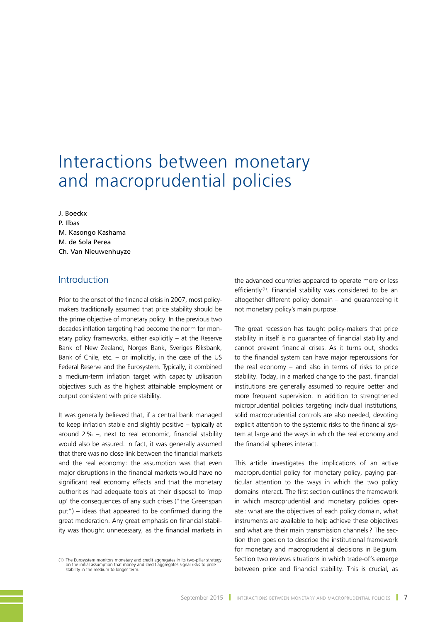# Interactions between monetary and macroprudential policies

J. Boeckx P. Ilbas M. Kasongo Kashama M. de Sola Perea Ch. Van Nieuwenhuyze

# Introduction

Prior to the onset of the financial crisis in 2007, most policymakers traditionally assumed that price stability should be the prime objective of monetary policy. In the previous two decades inflation targeting had become the norm for monetary policy frameworks, either explicitly – at the Reserve Bank of New Zealand, Norges Bank, Sveriges Riksbank, Bank of Chile, etc.  $-$  or implicitly, in the case of the US Federal Reserve and the Eurosystem. Typically, it combined a medium-term inflation target with capacity utilisation objectives such as the highest attainable employment or output consistent with price stability.

It was generally believed that, if a central bank managed to keep inflation stable and slightly positive – typically at around 2% –, next to real economic, financial stability would also be assured. In fact, it was generally assumed that there was no close link between the financial markets and the real economy: the assumption was that even major disruptions in the financial markets would have no significant real economy effects and that the monetary authorities had adequate tools at their disposal to 'mop up' the consequences of any such crises ("the Greenspan put") – ideas that appeared to be confirmed during the great moderation. Any great emphasis on financial stability was thought unnecessary, as the financial markets in the advanced countries appeared to operate more or less efficiently<sup>(1)</sup>. Financial stability was considered to be an altogether different policy domain – and guaranteeing it not monetary policy's main purpose.

The great recession has taught policy-makers that price stability in itself is no guarantee of financial stability and cannot prevent financial crises. As it turns out, shocks to the financial system can have major repercussions for the real economy – and also in terms of risks to price stability. Today, in a marked change to the past, financial institutions are generally assumed to require better and more frequent supervision. In addition to strengthened microprudential policies targeting individual institutions, solid macroprudential controls are also needed, devoting explicit attention to the systemic risks to the financial system at large and the ways in which the real economy and the financial spheres interact.

This article investigates the implications of an active macroprudential policy for monetary policy, paying particular attention to the ways in which the two policy domains interact. The first section outlines the framework in which macroprudential and monetary policies operate : what are the objectives of each policy domain, what instruments are available to help achieve these objectives and what are their main transmission channels ? The section then goes on to describe the institutional framework for monetary and macroprudential decisions in Belgium. Section two reviews situations in which trade-offs emerge between price and financial stability. This is crucial, as

<sup>(1)</sup> The Eurosystem monitors monetary and credit aggregates in its two-pillar strategy on the initial assumption that money and credit aggregates signal risks to price stability in the medium to longer term.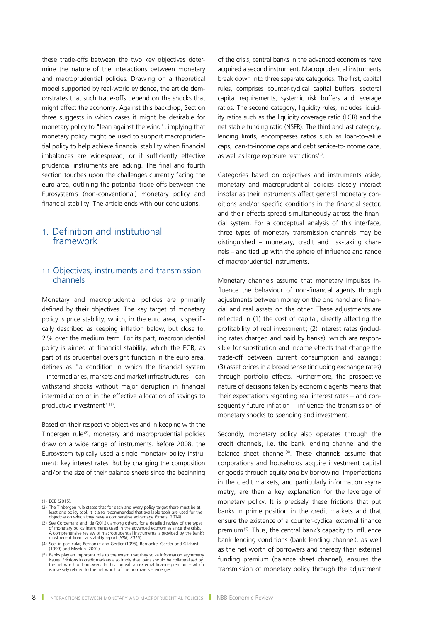these trade-offs between the two key objectives determine the nature of the interactions between monetary and macroprudential policies. Drawing on a theoretical model supported by real-world evidence, the article demonstrates that such trade-offs depend on the shocks that might affect the economy. Against this backdrop, Section three suggests in which cases it might be desirable for monetary policy to "lean against the wind", implying that monetary policy might be used to support macroprudential policy to help achieve financial stability when financial imbalances are widespread, or if sufficiently effective prudential instruments are lacking. The final and fourth section touches upon the challenges currently facing the euro area, outlining the potential trade-offs between the Eurosystem's (non-conventional) monetary policy and financial stability. The article ends with our conclusions.

# 1. Definition and institutional framework

## 1.1 Objectives, instruments and transmission channels

Monetary and macroprudential policies are primarily defined by their objectives. The key target of monetary policy is price stability, which, in the euro area, is specifically described as keeping inflation below, but close to, 2% over the medium term. For its part, macroprudential policy is aimed at financial stability, which the ECB, as part of its prudential oversight function in the euro area, defines as "a condition in which the financial system – intermediaries, markets and market infrastructures – can withstand shocks without major disruption in financial intermediation or in the effective allocation of savings to productive investment"<sup>(1)</sup>.

Based on their respective objectives and in keeping with the Tinbergen rule<sup>(2)</sup>, monetary and macroprudential policies draw on a wide range of instruments. Before 2008, the Eurosystem typically used a single monetary policy instrument: key interest rates. But by changing the composition and/or the size of their balance sheets since the beginning

- (2) The Tinbergen rule states that for each and every policy target there must be at<br>least one policy tool. It is also recommended that available tools are used for the<br>objective on which they have a comparative advantage
- (3) See Cordemans and Ide (2012), among others, for a detailed review of the types<br>of monetary policy instruments used in the advanced economies since the crisis.<br>A comprehensive review of macroprudential instruments is pr most recent financial stability report (*NBB, 2015*).
- (4) See, in particular, Bernanke and Gertler (1995), Bernanke, Gertler and Gilchrist (1999) and Mishkin (2001).
- (5) Banks play an important role to the extent that they solve information asymmetry<br>issues. Frictions in credit markets also imply that loans should be collateralised by<br>the net worth of borrowers. In this context, an ext is inversely related to the net worth of the borrowers – emerges.

of the crisis, central banks in the advanced economies have acquired a second instrument. Macroprudential instruments break down into three separate categories. The first, capital rules, comprises counter-cyclical capital buffers, sectoral capital requirements, systemic risk buffers and leverage ratios. The second category, liquidity rules, includes liquidity ratios such as the liquidity coverage ratio (LCR) and the net stable funding ratio (NSFR). The third and last category, lending limits, encompasses ratios such as loan-to-value caps, loan-to-income caps and debt service-to-income caps, as well as large exposure restrictions<sup>(3)</sup>.

Categories based on objectives and instruments aside, monetary and macroprudential policies closely interact insofar as their instruments affect general monetary conditions and/or specific conditions in the financial sector, and their effects spread simultaneously across the financial system. For a conceptual analysis of this interface, three types of monetary transmission channels may be distinguished – monetary, credit and risk-taking channels – and tied up with the sphere of influence and range of macroprudential instruments.

Monetary channels assume that monetary impulses influence the behaviour of non-financial agents through adjustments between money on the one hand and financial and real assets on the other. These adjustments are reflected in (1) the cost of capital, directly affecting the profitability of real investment; (2) interest rates (including rates charged and paid by banks), which are responsible for substitution and income effects that change the trade-off between current consumption and savings; (3) asset prices in a broad sense (including exchange rates) through portfolio effects. Furthermore, the prospective nature of decisions taken by economic agents means that their expectations regarding real interest rates – and consequently future inflation – influence the transmission of monetary shocks to spending and investment.

Secondly, monetary policy also operates through the credit channels, i.e. the bank lending channel and the balance sheet channel<sup>(4)</sup>. These channels assume that corporations and households acquire investment capital or goods through equity *and* by borrowing. Imperfections in the credit markets, and particularly information asymmetry, are then a key explanation for the leverage of monetary policy. It is precisely these frictions that put banks in prime position in the credit markets and that ensure the existence of a counter-cyclical external finance premium<sup>(5)</sup>. Thus, the central bank's capacity to influence bank lending conditions (bank lending channel), as well as the net worth of borrowers and thereby their external funding premium (balance sheet channel), ensures the transmission of monetary policy through the adjustment

<sup>(1)</sup> ECB (2015).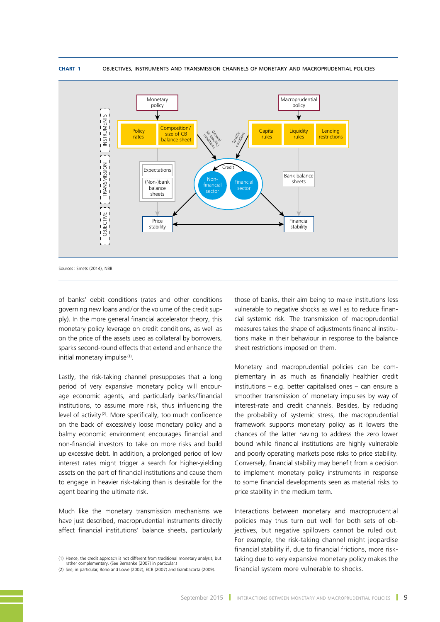

#### **Chart 1** OBJECTIVES, INSTRUMENTS AND TRANSMISSION CHANNELS OF MONETARY AND MACROPRUDENTIAL POLICIES

of banks' debit conditions (rates and other conditions governing new loans and/or the volume of the credit supply). In the more general financial accelerator theory, this monetary policy leverage on credit conditions, as well as on the price of the assets used as collateral by borrowers, sparks second-round effects that extend and enhance the initial monetary impulse<sup>(1)</sup>.

Lastly, the risk-taking channel presupposes that a long period of very expansive monetary policy will encourage economic agents, and particularly banks/financial institutions, to assume more risk, thus influencing the level of activity<sup>(2)</sup>. More specifically, too much confidence on the back of excessively loose monetary policy and a balmy economic environment encourages financial and non-financial investors to take on more risks and build up excessive debt. In addition, a prolonged period of low interest rates might trigger a search for higher-yielding assets on the part of financial institutions and cause them to engage in heavier risk-taking than is desirable for the agent bearing the ultimate risk.

Much like the monetary transmission mechanisms we have just described, macroprudential instruments directly affect financial institutions' balance sheets, particularly

those of banks, their aim being to make institutions less vulnerable to negative shocks as well as to reduce financial systemic risk. The transmission of macroprudential measures takes the shape of adjustments financial institutions make in their behaviour in response to the balance sheet restrictions imposed on them.

Monetary and macroprudential policies can be complementary in as much as financially healthier credit institutions – e.g. better capitalised ones – can ensure a smoother transmission of monetary impulses by way of interest-rate and credit channels. Besides, by reducing the probability of systemic stress, the macroprudential framework supports monetary policy as it lowers the chances of the latter having to address the zero lower bound while financial institutions are highly vulnerable and poorly operating markets pose risks to price stability. Conversely, financial stability may benefit from a decision to implement monetary policy instruments in response to some financial developments seen as material risks to price stability in the medium term.

Interactions between monetary and macroprudential policies may thus turn out well for both sets of objectives, but negative spillovers cannot be ruled out. For example, the risk-taking channel might jeopardise financial stability if, due to financial frictions, more risktaking due to very expansive monetary policy makes the financial system more vulnerable to shocks.

<sup>(1)</sup> Hence, the credit approach is not different from traditional monetary analysis, but rather complementary. (See Bernanke (2007) in particular.)

<sup>(2)</sup> See, in particular, Borio and Lowe (2002), ECB (2007) and Gambacorta (2009).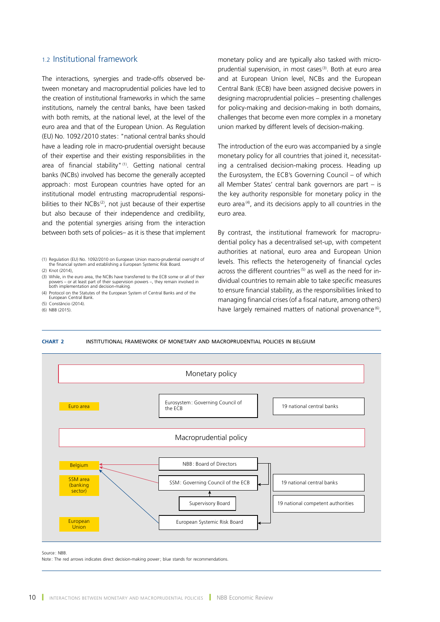## 1.2 Institutional framework

The interactions, synergies and trade-offs observed between monetary and macroprudential policies have led to the creation of institutional frameworks in which the same institutions, namely the central banks, have been tasked with both remits, at the national level, at the level of the euro area and that of the European Union. As Regulation (EU) No. 1092/2010 states: "national central banks should have a leading role in macro-prudential oversight because of their expertise and their existing responsibilities in the area of financial stability"<sup>(1)</sup>. Getting national central banks (NCBs) involved has become the generally accepted approach: most European countries have opted for an institutional model entrusting macroprudential responsibilities to their NCBs<sup>(2)</sup>, not just because of their expertise but also because of their independence and credibility, and the potential synergies arising from the interaction between both sets of policies– as it is these that implement

(4) Protocol on the Statutes of the European System of Central Banks and of the European Central Bank.

(5) Constâncio (2014).

(6) NBB (2015).

monetary policy and are typically also tasked with microprudential supervision, in most cases<sup>(3)</sup>. Both at euro area and at European Union level, NCBs and the European Central Bank (ECB) have been assigned decisive powers in designing macroprudential policies – presenting challenges for policy-making and decision-making in both domains, challenges that become even more complex in a monetary union marked by different levels of decision-making.

The introduction of the euro was accompanied by a single monetary policy for all countries that joined it, necessitating a centralised decision-making process. Heading up the Eurosystem, the ECB's Governing Council – of which all Member States' central bank governors are part – is the key authority responsible for monetary policy in the euro area $(4)$ , and its decisions apply to all countries in the euro area.

By contrast, the institutional framework for macroprudential policy has a decentralised set-up, with competent authorities at national, euro area and European Union levels. This reflects the heterogeneity of financial cycles across the different countries<sup>(5)</sup> as well as the need for individual countries to remain able to take specific measures to ensure financial stability, as the responsibilities linked to managing financial crises (of a fiscal nature, among others) have largely remained matters of national provenance<sup>(6)</sup>,





Source : NBB.

Note: The red arrows indicates direct decision-making power; blue stands for recommendations.

<sup>(1)</sup> Regulation (EU) No. 1092/2010 on European Union macro-prudential oversight of the financial system and establishing a European Systemic Risk Board. (2) Knot (2014),

<sup>(3)</sup> While, in the euro area, the NCBs have transferred to the ECB some or all of their powers – or at least part of their supervision powers –, they remain involved in both implementation and decision-making.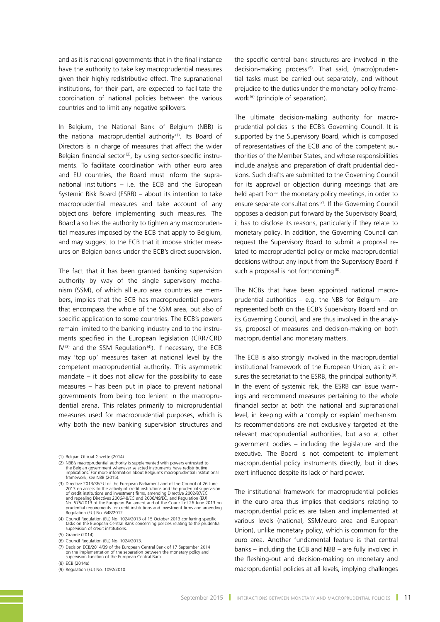and as it is national governments that in the final instance have the authority to take key macroprudential measures given their highly redistributive effect. The supranational institutions, for their part, are expected to facilitate the coordination of national policies between the various countries and to limit any negative spillovers.

In Belgium, the National Bank of Belgium (NBB) is the national macroprudential authority (1). Its Board of Directors is in charge of measures that affect the wider Belgian financial sector<sup>(2)</sup>, by using sector-specific instruments. To facilitate coordination with other euro area and EU countries, the Board must inform the supranational institutions – i.e. the ECB and the European Systemic Risk Board (ESRB) – about its intention to take macroprudential measures and take account of any objections before implementing such measures. The Board also has the authority to tighten any macroprudential measures imposed by the ECB that apply to Belgium, and may suggest to the ECB that it impose stricter measures on Belgian banks under the ECB's direct supervision.

The fact that it has been granted banking supervision authority by way of the single supervisory mechanism (SSM), of which all euro area countries are members, implies that the ECB has macroprudential powers that encompass the whole of the SSM area, but also of specific application to some countries. The ECB's powers remain limited to the banking industry and to the instruments specified in the European legislation (CRR/CRD  $IV^{(3)}$  and the SSM Regulation<sup>(4)</sup>). If necessary, the ECB may 'top up' measures taken at national level by the competent macroprudential authority. This asymmetric mandate – it does not allow for the possibility to ease measures – has been put in place to prevent national governments from being too lenient in the macroprudential arena. This relates primarily to microprudential measures used for macroprudential purposes, which is why both the new banking supervision structures and

- (3) Directive 2013/36/EU of the European Parliament and of the Council of 26 June 2013 on access to the activity of credit institutions and the prudential supervision<br>of credit institutions and investment firms, amending Directive 2002/87/EC<br>and repealing Directives 2006/48/EC and 2006/49/EC, and Regula
- (4) Council Regulation (EU) No. 1024/2013 of 15 October 2013 conferring specific tasks on the European Central Bank concerning policies relating to the prudential supervision of credit institutions.
- (5) Grande (2014).

- (7) Decision ECB/2014/39 of the European Central Bank of 17 September 2014 on the implementation of the separation between the monetary policy and supervision function of the European Central Bank.
- (8) ECB (2014a)
- (9) Regulation (EU) No. 1092/2010.

the specific central bank structures are involved in the decision-making process<sup>(5)</sup>. That said, (macro)prudential tasks must be carried out separately, and without prejudice to the duties under the monetary policy framework<sup>(6)</sup> (principle of separation).

The ultimate decision-making authority for macroprudential policies is the ECB's Governing Council. It is supported by the Supervisory Board, which is composed of representatives of the ECB and of the competent authorities of the Member States, and whose responsibilities include analysis and preparation of draft prudential decisions. Such drafts are submitted to the Governing Council for its approval or objection during meetings that are held apart from the monetary policy meetings, in order to ensure separate consultations<sup> $(7)$ </sup>. If the Governing Council opposes a decision put forward by the Supervisory Board, it has to disclose its reasons, particularly if they relate to monetary policy. In addition, the Governing Council can request the Supervisory Board to submit a proposal related to macroprudential policy or make macroprudential decisions without any input from the Supervisory Board if such a proposal is not forthcoming<sup>(8)</sup>.

The NCBs that have been appointed national macroprudential authorities  $-$  e.g. the NBB for Belgium  $-$  are represented both on the ECB's Supervisory Board and on its Governing Council, and are thus involved in the analysis, proposal of measures and decision-making on both macroprudential and monetary matters.

The ECB is also strongly involved in the macroprudential institutional framework of the European Union, as it ensures the secretariat to the ESRB, the principal authority<sup>(9)</sup>. In the event of systemic risk, the ESRB can issue warnings and recommend measures pertaining to the whole financial sector at both the national and supranational level, in keeping with a 'comply or explain' mechanism. Its recommendations are not exclusively targeted at the relevant macroprudential authorities, but also at other government bodies – including the legislature and the executive. The Board is not competent to implement macroprudential policy instruments directly, but it does exert influence despite its lack of hard power.

The institutional framework for macroprudential policies in the euro area thus implies that decisions relating to macroprudential policies are taken and implemented at various levels (national, SSM/ euro area and European Union), unlike monetary policy, which is common for the euro area. Another fundamental feature is that central banks – including the ECB and NBB – are fully involved in the fleshing-out and decision-making on monetary and macroprudential policies at all levels, implying challenges

<sup>(1)</sup> Belgian Official Gazette (2014).

<sup>(2)</sup> NBB's macroprudential authority is supplemented with powers entrusted to the Belgian government whenever selected instruments have redistributive implications. For more information about Belgium's macroprudential institutional framework, see NBB (2015).

<sup>(6)</sup> Council Regulation (EU) No. 1024/2013.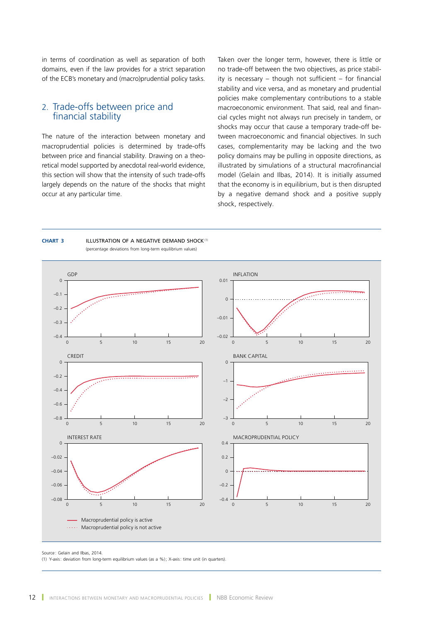in terms of coordination as well as separation of both domains, even if the law provides for a strict separation of the ECB's monetary and (macro)prudential policy tasks.

## 2. Trade-offs between price and financial stability

The nature of the interaction between monetary and macroprudential policies is determined by trade-offs between price and financial stability. Drawing on a theoretical model supported by anecdotal real-world evidence, this section will show that the intensity of such trade-offs largely depends on the nature of the shocks that might occur at any particular time.

Taken over the longer term, however, there is little or no trade-off between the two objectives, as price stability is necessary – though not sufficient – for financial stability and vice versa, and as monetary and prudential policies make complementary contributions to a stable macroeconomic environment. That said, real and financial cycles might not always run precisely in tandem, or shocks may occur that cause a temporary trade-off between macroeconomic and financial objectives. In such cases, complementarity may be lacking and the two policy domains may be pulling in opposite directions, as illustrated by simulations of a structural macrofinancial model (Gelain and Ilbas, 2014). It is initially assumed that the economy is in equilibrium, but is then disrupted by a negative demand shock and a positive supply shock, respectively.

#### **Chart 3** ILLUSTRATION OF A NEGATIVE DEMAND SHOCK(1) (percentage deviations from long-term equilibrium values)



Source : Gelain and Ilbas, 2014.

(1) Y-axis: deviation from long-term equilibrium values (as a %); X-axis: time unit (in quarters).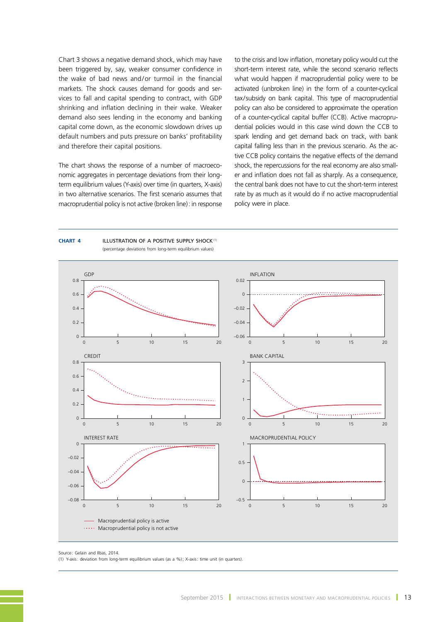Chart 3 shows a negative demand shock, which may have been triggered by, say, weaker consumer confidence in the wake of bad news and/or turmoil in the financial markets. The shock causes demand for goods and services to fall and capital spending to contract, with GDP shrinking and inflation declining in their wake. Weaker demand also sees lending in the economy and banking capital come down, as the economic slowdown drives up default numbers and puts pressure on banks' profitability and therefore their capital positions.

The chart shows the response of a number of macroeconomic aggregates in percentage deviations from their longterm equilibrium values (Y-axis) over time (in quarters, X-axis) in two alternative scenarios. The first scenario assumes that macroprudential policy is not active (broken line): in response

**Chart 4** ILLUSTRATION OF A POSITIVE SUPPLY SHOCK(1)

to the crisis and low inflation, monetary policy would cut the short-term interest rate, while the second scenario reflects what would happen if macroprudential policy were to be activated (unbroken line) in the form of a counter-cyclical tax/subsidy on bank capital. This type of macroprudential policy can also be considered to approximate the operation of a counter-cyclical capital buffer (CCB). Active macroprudential policies would in this case wind down the CCB to spark lending and get demand back on track, with bank capital falling less than in the previous scenario. As the active CCB policy contains the negative effects of the demand shock, the repercussions for the real economy are also smaller and inflation does not fall as sharply. As a consequence, the central bank does not have to cut the short-term interest rate by as much as it would do if no active macroprudential policy were in place.



(percentage deviations from long-term equilibrium values)

Source : Gelain and Ilbas, 2014.

(1) Y-axis: deviation from long-term equilibrium values (as a %); X-axis: time unit (in quarters).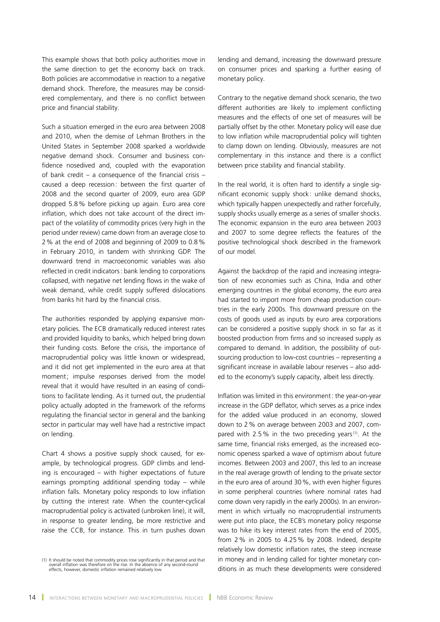This example shows that both policy authorities move in the same direction to get the economy back on track. Both policies are accommodative in reaction to a negative demand shock. Therefore, the measures may be considered complementary, and there is no conflict between price and financial stability.

Such a situation emerged in the euro area between 2008 and 2010, when the demise of Lehman Brothers in the United States in September 2008 sparked a worldwide negative demand shock. Consumer and business confidence nosedived and, coupled with the evaporation of bank credit – a consequence of the financial crisis – caused a deep recession: between the first quarter of 2008 and the second quarter of 2009, euro area GDP dropped 5.8% before picking up again. Euro area core inflation, which does not take account of the direct impact of the volatility of commodity prices (very high in the period under review) came down from an average close to 2% at the end of 2008 and beginning of 2009 to 0.8% in February 2010, in tandem with shrinking GDP. The downward trend in macroeconomic variables was also reflected in credit indicators: bank lending to corporations collapsed, with negative net lending flows in the wake of weak demand, while credit supply suffered dislocations from banks hit hard by the financial crisis.

The authorities responded by applying expansive monetary policies. The ECB dramatically reduced interest rates and provided liquidity to banks, which helped bring down their funding costs. Before the crisis, the importance of macroprudential policy was little known or widespread, and it did not get implemented in the euro area at that moment; impulse responses derived from the model reveal that it would have resulted in an easing of conditions to facilitate lending. As it turned out, the prudential policy actually adopted in the framework of the reforms regulating the financial sector in general and the banking sector in particular may well have had a restrictive impact on lending.

Chart 4 shows a positive supply shock caused, for example, by technological progress. GDP climbs and lending is encouraged – with higher expectations of future earnings prompting additional spending today – while inflation falls. Monetary policy responds to low inflation by cutting the interest rate. When the counter-cyclical macroprudential policy is activated (unbroken line), it will, in response to greater lending, be more restrictive and raise the CCB, for instance. This in turn pushes down

lending and demand, increasing the downward pressure on consumer prices and sparking a further easing of monetary policy.

Contrary to the negative demand shock scenario, the two different authorities are likely to implement conflicting measures and the effects of one set of measures will be partially offset by the other. Monetary policy will ease due to low inflation while macroprudential policy will tighten to clamp down on lending. Obviously, measures are not complementary in this instance and there is a conflict between price stability and financial stability.

In the real world, it is often hard to identify a single significant economic supply shock : unlike demand shocks, which typically happen unexpectedly and rather forcefully, supply shocks usually emerge as a series of smaller shocks. The economic expansion in the euro area between 2003 and 2007 to some degree reflects the features of the positive technological shock described in the framework of our model.

Against the backdrop of the rapid and increasing integration of new economies such as China, India and other emerging countries in the global economy, the euro area had started to import more from cheap production countries in the early 2000s. This downward pressure on the costs of goods used as inputs by euro area corporations can be considered a positive supply shock in so far as it boosted production from firms and so increased supply as compared to demand. In addition, the possibility of outsourcing production to low-cost countries – representing a significant increase in available labour reserves – also added to the economy's supply capacity, albeit less directly.

Inflation was limited in this environment: the year-on-year increase in the GDP deflator, which serves as a price index for the added value produced in an economy, slowed down to 2% on average between 2003 and 2007, compared with 2.5% in the two preceding years<sup> $(1)$ </sup>. At the same time, financial risks emerged, as the increased economic openess sparked a wave of optimism about future incomes. Between 2003 and 2007, this led to an increase in the real average growth of lending to the private sector in the euro area of around 30%, with even higher figures in some peripheral countries (where nominal rates had come down very rapidly in the early 2000s). In an environment in which virtually no macroprudential instruments were put into place, the ECB's monetary policy response was to hike its key interest rates from the end of 2005, from 2% in 2005 to 4.25% by 2008. Indeed, despite relatively low domestic inflation rates, the steep increase in money and in lending called for tighter monetary conditions in as much these developments were considered

<sup>(1)</sup> It should be noted that commodity prices rose significantly in that period and that overall inflation was therefore on the rise. In the absence of any second-round effects, however, domestic inflation remained relatively low.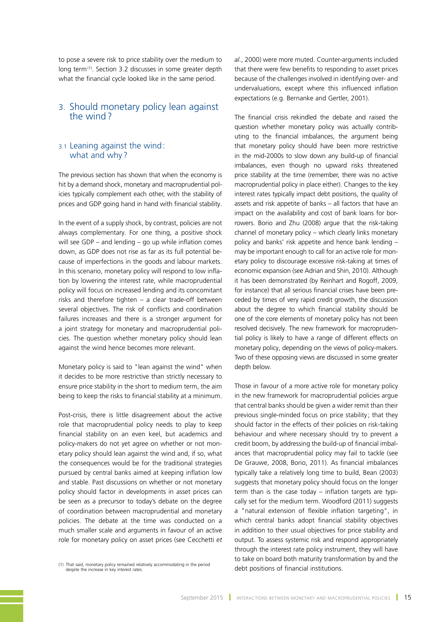to pose a severe risk to price stability over the medium to long term<sup>(1)</sup>. Section 3.2 discusses in some greater depth what the financial cycle looked like in the same period.

# 3. Should monetary policy lean against the wind?

## 3.1 Leaning against the wind: what and why?

The previous section has shown that when the economy is hit by a demand shock, monetary and macroprudential policies typically complement each other, with the stability of prices and GDP going hand in hand with financial stability.

In the event of a supply shock, by contrast, policies are not always complementary. For one thing, a positive shock will see GDP – and lending – go up while inflation comes down, as GDP does not rise as far as its full potential because of imperfections in the goods and labour markets. In this scenario, monetary policy will respond to low inflation by lowering the interest rate, while macroprudential policy will focus on increased lending and its concomitant risks and therefore tighten – a clear trade-off between several objectives. The risk of conflicts and coordination failures increases and there is a stronger argument for a joint strategy for monetary and macroprudential policies. The question whether monetary policy should lean against the wind hence becomes more relevant.

Monetary policy is said to "lean against the wind" when it decides to be more restrictive than strictly necessary to ensure price stability in the short to medium term, the aim being to keep the risks to financial stability at a minimum.

Post-crisis, there is little disagreement about the active role that macroprudential policy needs to play to keep financial stability on an even keel, but academics and policy-makers do not yet agree on whether or not monetary policy should lean against the wind and, if so, what the consequences would be for the traditional strategies pursued by central banks aimed at keeping inflation low and stable. Past discussions on whether or not monetary policy should factor in developments in asset prices can be seen as a precursor to today's debate on the degree of coordination between macroprudential and monetary policies. The debate at the time was conducted on a much smaller scale and arguments in favour of an active role for monetary policy on asset prices (see Cecchetti *et* 

*al*., 2000) were more muted. Counter-arguments included that there were few benefits to responding to asset prices because of the challenges involved in identifying over- and undervaluations, except where this influenced inflation expectations (e.g. Bernanke and Gertler, 2001).

The financial crisis rekindled the debate and raised the question whether monetary policy was actually contributing to the financial imbalances, the argument being that monetary policy should have been more restrictive in the mid-2000s to slow down any build-up of financial imbalances, even though no upward risks threatened price stability at the time (remember, there was no active macroprudential policy in place either). Changes to the key interest rates typically impact debt positions, the quality of assets and risk appetite of banks – all factors that have an impact on the availability and cost of bank loans for borrowers. Borio and Zhu (2008) argue that the risk-taking channel of monetary policy – which clearly links monetary policy and banks' risk appetite and hence bank lending – may be important enough to call for an active role for monetary policy to discourage excessive risk-taking at times of economic expansion (see Adrian and Shin, 2010). Although it has been demonstrated (by Reinhart and Rogoff, 2009, for instance) that all serious financial crises have been preceded by times of very rapid credit growth, the discussion about the degree to which financial stability should be one of the core elements of monetary policy has not been resolved decisively. The new framework for macroprudential policy is likely to have a range of different effects on monetary policy, depending on the views of policy-makers. Two of these opposing views are discussed in some greater depth below.

Those in favour of a more active role for monetary policy in the new framework for macroprudential policies argue that central banks should be given a wider remit than their previous single-minded focus on price stability; that they should factor in the effects of their policies on risk-taking behaviour and where necessary should try to prevent a credit boom, by addressing the build-up of financial imbalances that macroprudential policy may fail to tackle (see De Grauwe, 2008, Borio, 2011). As financial imbalances typically take a relatively long time to build, Bean (2003) suggests that monetary policy should focus on the longer term than is the case today – inflation targets are typically set for the medium term. Woodford (2011) suggests a "natural extension of flexible inflation targeting", in which central banks adopt financial stability objectives in addition to their usual objectives for price stability and output. To assess systemic risk and respond appropriately through the interest rate policy instrument, they will have to take on board both maturity transformation by and the

<sup>(1)</sup> That said, monetary policy remained relatively accommodating in the period<br>debt positions of financial institutions. despite the increase in key interest rates.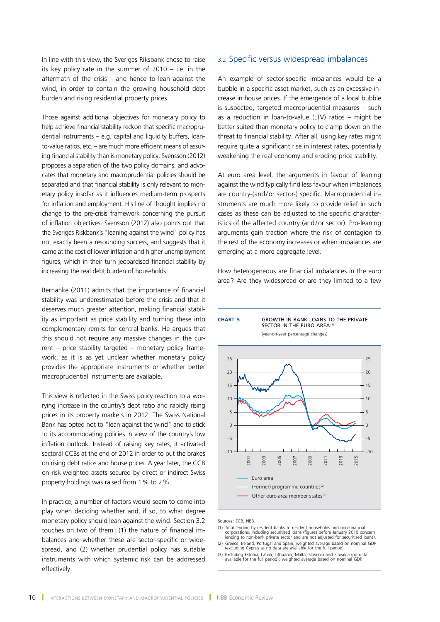In line with this view, the Sveriges Riksbank chose to raise its key policy rate in the summer of 2010 – i.e. in the aftermath of the crisis – and hence to lean against the wind, in order to contain the growing household debt burden and rising residential property prices.

Those against additional objectives for monetary policy to help achieve financial stability reckon that specific macroprudential instruments – e.g. capital and liquidity buffers, loanto-value ratios, etc. – are much more efficient means of assuring financial stability than is monetary policy. Svensson (2012) proposes a separation of the two policy domains, and advocates that monetary and macroprudential policies should be separated and that financial stability is only relevant to monetary policy insofar as it influences medium-term prospects for inflation and employment. His line of thought implies no change to the pre-crisis framework concerning the pursuit of inflation objectives. Svensson (2012) also points out that the Sveriges Riskbank's "leaning against the wind" policy has not exactly been a resounding success, and suggests that it came at the cost of lower inflation and higher unemployment figures, which in their turn jeopardised financial stability by increasing the real debt burden of households.

Bernanke (2011) admits that the importance of financial stability was underestimated before the crisis and that it deserves much greater attention, making financial stability as important as price stability and turning these into complementary remits for central banks. He argues that this should not require any massive changes in the current – price stability targeted – monetary policy framework, as it is as yet unclear whether monetary policy provides the appropriate instruments or whether better macroprudential instruments are available.

This view is reflected in the Swiss policy reaction to a worrying increase in the country's debt ratio and rapidly rising prices in its property markets in 2012. The Swiss National Bank has opted not to "lean against the wind" and to stick to its accommodating policies in view of the country's low inflation outlook. Instead of raising key rates, it activated sectoral CCBs at the end of 2012 in order to put the brakes on rising debt ratios and house prices. A year later, the CCB on risk-weighted assets secured by direct or indirect Swiss property holdings was raised from 1% to 2%.

In practice, a number of factors would seem to come into play when deciding whether and, if so, to what degree monetary policy should lean against the wind. Section 3.2 touches on two of them: (1) the nature of financial imbalances and whether these are sector-specific or widespread, and (2) whether prudential policy has suitable instruments with which systemic risk can be addressed effectively.

### 3.2 Specific versus widespread imbalances

An example of sector-specific imbalances would be a bubble in a specific asset market, such as an excessive increase in house prices. If the emergence of a local bubble is suspected, targeted macroprudential measures – such as a reduction in loan-to-value (LTV) ratios – might be better suited than monetary policy to clamp down on the threat to financial stability. After all, using key rates might require quite a significant rise in interest rates, potentially weakening the real economy and eroding price stability.

At euro area level, the arguments in favour of leaning against the wind typically find less favour when imbalances are country-(and/or sector-) specific. Macroprudential instruments are much more likely to provide relief in such cases as these can be adjusted to the specific characteristics of the affected country (and/or sector). Pro-leaning arguments gain traction where the risk of contagion to the rest of the economy increases or when imbalances are emerging at a more aggregate level.

How heterogeneous are financial imbalances in the euro area ? Are they widespread or are they limited to a few





Sources: ECB, NBB.

- (1) Total lending by resident banks to resident households and non-financial corporations, including securitised loans (figures before January 2010 concern lending to non-bank private sector and are not adjusted for securitised loans).
- (2) Greece, Ireland, Portugal and Spain, weighted average based on nominal GDP (excluding Cyprus as no data are available for the full period).
- (3) Excluding Estonia, Latvia, Lithuania, Malta, Slovenia and Slovakia (no data available for the full period); weighted average based on nominal GDP.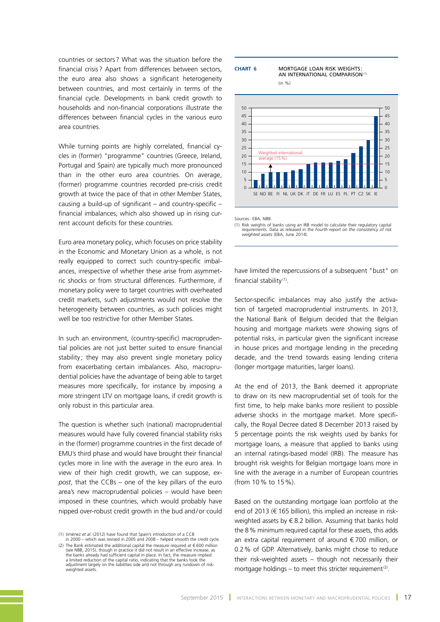countries or sectors ? What was the situation before the financial crisis ? Apart from differences between sectors, the euro area also shows a significant heterogeneity between countries, and most certainly in terms of the financial cycle. Developments in bank credit growth to households and non-financial corporations illustrate the differences between financial cycles in the various euro area countries.

While turning points are highly correlated, financial cycles in (former) "programme" countries (Greece, Ireland, Portugal and Spain) are typically much more pronounced than in the other euro area countries. On average, (former) programme countries recorded pre-crisis credit growth at twice the pace of that in other Member States, causing a build-up of significant  $-$  and country-specific  $$ financial imbalances, which also showed up in rising current account deficits for these countries.

Euro area monetary policy, which focuses on price stability in the Economic and Monetary Union as a whole, is not really equipped to correct such country-specific imbalances, irrespective of whether these arise from asymmetric shocks or from structural differences. Furthermore, if monetary policy were to target countries with overheated credit markets, such adjustments would not resolve the heterogeneity between countries, as such policies might well be too restrictive for other Member States.

In such an environment, (country-specific) macroprudential policies are not just better suited to ensure financial stability; they may also prevent single monetary policy from exacerbating certain imbalances. Also, macroprudential policies have the advantage of being able to target measures more specifically, for instance by imposing a more stringent LTV on mortgage loans, if credit growth is only robust in this particular area.

The question is whether such (national) macroprudential measures would have fully covered financial stability risks in the (former) programme countries in the first decade of EMU's third phase and would have brought their financial cycles more in line with the average in the euro area. In view of their high credit growth, we can suppose, *expost*, that the CCBs – one of the key pillars of the euro area's new macroprudential policies – would have been imposed in these countries, which would probably have nipped over-robust credit growth in the bud and/or could

#### **Chart 6** MORTGAGE LOAN RISK WEIGHTS :







Sources: **EBA, NBB.** 

have limited the repercussions of a subsequent "bust" on financial stability (1).

Sector-specific imbalances may also justify the activation of targeted macroprudential instruments. In 2013, the National Bank of Belgium decided that the Belgian housing and mortgage markets were showing signs of potential risks, in particular given the significant increase in house prices and mortgage lending in the preceding decade, and the trend towards easing lending criteria (longer mortgage maturities, larger loans).

At the end of 2013, the Bank deemed it appropriate to draw on its new macroprudential set of tools for the first time, to help make banks more resilient to possible adverse shocks in the mortgage market. More specifically, the Royal Decree dated 8 December 2013 raised by 5 percentage points the risk weights used by banks for mortgage loans, a measure that applied to banks using an internal ratings-based model (IRB). The measure has brought risk weights for Belgian mortgage loans more in line with the average in a number of European countries (from 10% to 15%).

Based on the outstanding mortgage loan portfolio at the end of 2013 (€ 165 billion), this implied an increase in riskweighted assets by  $\in$  8.2 billion. Assuming that banks hold the 8% minimum required capital for these assets, this adds an extra capital requirement of around  $\epsilon$  700 million, or 0.2% of GDP. Alternatively, banks might chose to reduce their risk-weighted assets – though not necessarily their mortgage holdings – to meet this stricter requirement<sup>(2)</sup>.

<sup>(1)</sup> Jiménez *et al*. (2012) have found that Spain's introduction of a CCB in 2000 – which was revised in 2005 and 2008 – helped smooth the credit cycle.

<sup>(2)</sup> The Bank estimated the additional capital the measure required at € 600 million (see NBB, 2015), though in practice it did not result in an effective increase, as the banks already had sufficient capital in place. In fact, the measure implied<br>a limited reduction of the capital ratio, indicating that the banks took the<br>adjustment largely on the liabilities side and not through any ru weighted assets.

<sup>(1)</sup> Risk weights of banks using an IRB model to calculate their regulatory capital requirements. Data as released in the *Fourth report on the consistency of risk weighted assets* (EBA, June 2014).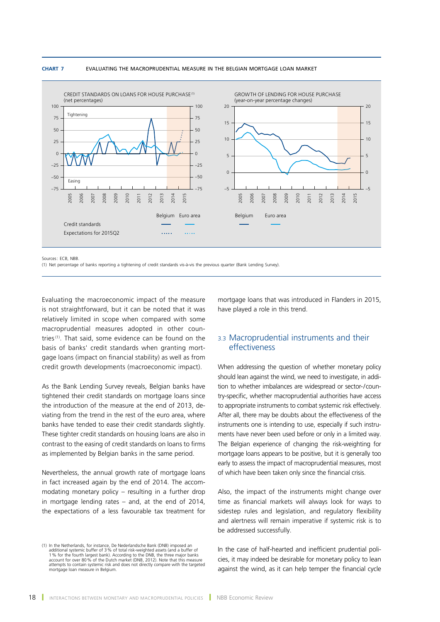#### **Chart 7** EVALUATING THE MACROPRUDENTIAL MEASURE IN THE BELGIAN MORTGAGE LOAN MARKET



Sources: FCB, NBB

(1) Net percentage of banks reporting a tightening of credit standards vis-à-vis the previous quarter (Bank Lending Survey).

Evaluating the macroeconomic impact of the measure is not straightforward, but it can be noted that it was relatively limited in scope when compared with some macroprudential measures adopted in other countries<sup>(1)</sup>. That said, some evidence can be found on the basis of banks' credit standards when granting mortgage loans (impact on financial stability) as well as from credit growth developments (macroeconomic impact).

As the Bank Lending Survey reveals, Belgian banks have tightened their credit standards on mortgage loans since the introduction of the measure at the end of 2013, deviating from the trend in the rest of the euro area, where banks have tended to ease their credit standards slightly. These tighter credit standards on housing loans are also in contrast to the easing of credit standards on loans to firms as implemented by Belgian banks in the same period.

Nevertheless, the annual growth rate of mortgage loans in fact increased again by the end of 2014. The accommodating monetary policy – resulting in a further drop in mortgage lending rates – and, at the end of 2014, the expectations of a less favourable tax treatment for

mortgage loans that was introduced in Flanders in 2015, have played a role in this trend.

## 3.3 Macroprudential instruments and their effectiveness

When addressing the question of whether monetary policy should lean against the wind, we need to investigate, in addition to whether imbalances are widespread or sector-/country-specific, whether macroprudential authorities have access to appropriate instruments to combat systemic risk effectively. After all, there may be doubts about the effectiveness of the instruments one is intending to use, especially if such instruments have never been used before or only in a limited way. The Belgian experience of changing the risk-weighting for mortgage loans appears to be positive, but it is generally too early to assess the impact of macroprudential measures, most of which have been taken only since the financial crisis.

Also, the impact of the instruments might change over time as financial markets will always look for ways to sidestep rules and legislation, and regulatory flexibility and alertness will remain imperative if systemic risk is to be addressed successfully.

In the case of half-hearted and inefficient prudential policies, it may indeed be desirable for monetary policy to lean against the wind, as it can help temper the financial cycle

<sup>(1)</sup> In the Netherlands, for instance, De Nederlandsche Bank (DNB) imposed an additional systemic buffer of 3% of total risk-weighted assets (and a buffer of 1 % for the fourth largest bank). According to the DNB, the three major banks<br>account for over 80 % of the Dutch market (DNB, 2012). Note that this measure<br>attempts to contain systemic risk and does not directly compare wi mortgage loan measure in Belgium.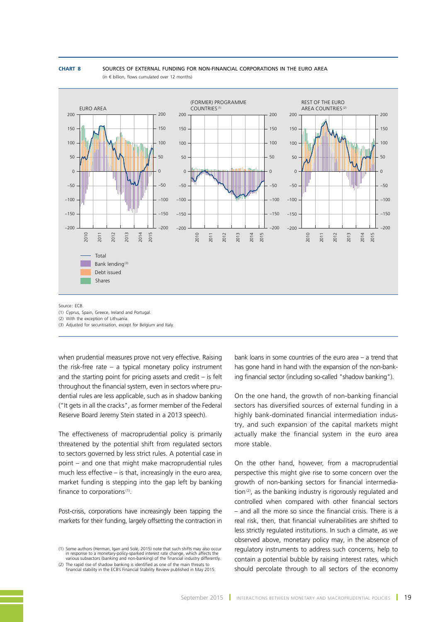#### **Chart 8** SOURCES OF EXTERNAL FUNDING FOR NON-FINANCIAL CORPORATIONS IN THE EURO AREA  $(in \in$  billion, flows cumulated over 12 months)



Source : ECB.

(1) Cyprus, Spain, Greece, Ireland and Portugal.

(2) With the exception of Lithuania.

(3) Adjusted for securitisation, except for Belgium and Italy.

when prudential measures prove not very effective. Raising the risk-free rate – a typical monetary policy instrument and the starting point for pricing assets and credit – is felt throughout the financial system, even in sectors where prudential rules are less applicable, such as in shadow banking ("It gets in all the cracks", as former member of the Federal Reserve Board Jeremy Stein stated in a 2013 speech).

The effectiveness of macroprudential policy is primarily threatened by the potential shift from regulated sectors to sectors governed by less strict rules. A potential case in point – and one that might make macroprudential rules much less effective – is that, increasingly in the euro area, market funding is stepping into the gap left by banking finance to corporations $(1)$ .

Post-crisis, corporations have increasingly been tapping the markets for their funding, largely offsetting the contraction in

(1) Some authors (Herman, Igan and Solé, 2015) note that such shifts may also occur in response to a monetary-policy-sparked interest rate change, which affects the various subsectors (banking and non-banking) of the financial industry differently.

bank loans in some countries of the euro area – a trend that has gone hand in hand with the expansion of the non-banking financial sector (including so-called "shadow banking").

On the one hand, the growth of non-banking financial sectors has diversified sources of external funding in a highly bank-dominated financial intermediation industry, and such expansion of the capital markets might actually make the financial system in the euro area more stable.

On the other hand, however, from a macroprudential perspective this might give rise to some concern over the growth of non-banking sectors for financial intermediation<sup>(2)</sup>, as the banking industry is rigorously regulated and controlled when compared with other financial sectors – and all the more so since the financial crisis. There is a real risk, then, that financial vulnerabilities are shifted to less strictly regulated institutions. In such a climate, as we observed above, monetary policy may, in the absence of regulatory instruments to address such concerns, help to contain a potential bubble by raising interest rates, which should percolate through to all sectors of the economy

<sup>(2)</sup> The rapid rise of shadow banking is identified as one of the main threats to financial stability in the ECB's Financial Stability Review published in May 2015.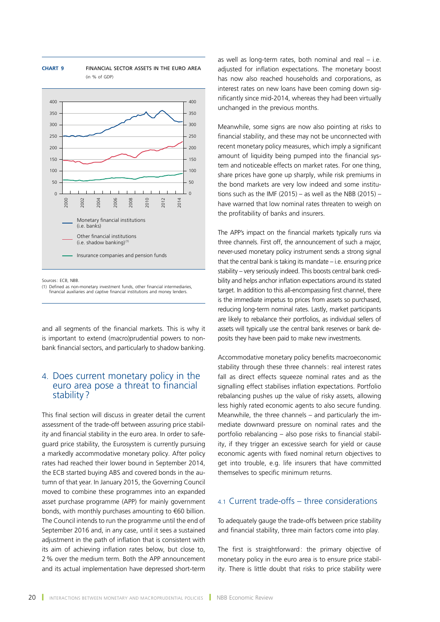

**Chart 9** FINANCIAL SECTOR ASSETS IN THE EURO AREA

(in % of GDP)

Sources: ECB, NBB.

(1) Defined as non-monetary investment funds, other financial intermediaries, financial auxiliaries and captive financial institutions and money lenders.

and all segments of the financial markets. This is why it is important to extend (macro)prudential powers to nonbank financial sectors, and particularly to shadow banking.

## 4. Does current monetary policy in the euro area pose a threat to financial stability?

This final section will discuss in greater detail the current assessment of the trade-off between assuring price stability and financial stability in the euro area. In order to safeguard price stability, the Eurosystem is currently pursuing a markedly accommodative monetary policy. After policy rates had reached their lower bound in September 2014, the ECB started buying ABS and covered bonds in the autumn of that year. In January 2015, the Governing Council moved to combine these programmes into an expanded asset purchase programme (APP) for mainly government bonds, with monthly purchases amounting to €60 billion. The Council intends to run the programme until the end of September 2016 and, in any case, until it sees a sustained adjustment in the path of inflation that is consistent with its aim of achieving inflation rates below, but close to, 2% over the medium term. Both the APP announcement and its actual implementation have depressed short-term as well as long-term rates, both nominal and real  $-$  i.e. adjusted for inflation expectations. The monetary boost has now also reached households and corporations, as interest rates on new loans have been coming down significantly since mid-2014, whereas they had been virtually unchanged in the previous months.

Meanwhile, some signs are now also pointing at risks to financial stability, and these may not be unconnected with recent monetary policy measures, which imply a significant amount of liquidity being pumped into the financial system and noticeable effects on market rates. For one thing, share prices have gone up sharply, while risk premiums in the bond markets are very low indeed and some institutions such as the IMF (2015) – as well as the NBB (2015) – have warned that low nominal rates threaten to weigh on the profitability of banks and insurers.

The APP's impact on the financial markets typically runs via three channels. First off, the announcement of such a major, never-used monetary policy instrument sends a strong signal that the central bank is taking its mandate – i.e. ensuring price stability – very seriously indeed. This boosts central bank credibility and helps anchor inflation expectations around its stated target. In addition to this all-encompassing first channel, there is the immediate impetus to prices from assets so purchased, reducing long-term nominal rates. Lastly, market participants are likely to rebalance their portfolios, as individual sellers of assets will typically use the central bank reserves or bank deposits they have been paid to make new investments.

Accommodative monetary policy benefits macroeconomic stability through these three channels: real interest rates fall as direct effects squeeze nominal rates and as the signalling effect stabilises inflation expectations. Portfolio rebalancing pushes up the value of risky assets, allowing less highly rated economic agents to also secure funding. Meanwhile, the three channels – and particularly the immediate downward pressure on nominal rates and the portfolio rebalancing – also pose risks to financial stability, if they trigger an excessive search for yield or cause economic agents with fixed nominal return objectives to get into trouble, e.g. life insurers that have committed themselves to specific minimum returns.

# 4.1 Current trade-offs – three considerations

To adequately gauge the trade-offs between price stability and financial stability, three main factors come into play.

The first is straightforward: the primary objective of monetary policy in the euro area is to ensure price stability. There is little doubt that risks to price stability were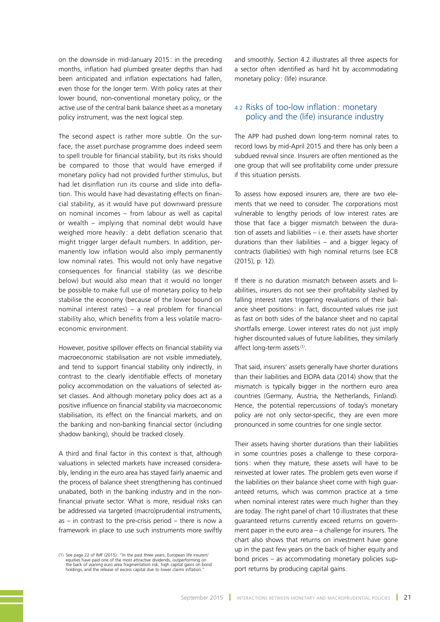on the downside in mid-January 2015: in the preceding months, inflation had plumbed greater depths than had been anticipated and inflation expectations had fallen, even those for the longer term. With policy rates at their lower bound, non-conventional monetary policy, or the active use of the central bank balance sheet as a monetary policy instrument, was the next logical step.

The second aspect is rather more subtle. On the surface, the asset purchase programme does indeed seem to spell trouble for financial stability, but its risks should be compared to those that would have emerged if monetary policy had not provided further stimulus, but had let disinflation run its course and slide into deflation. This would have had devastating effects on financial stability, as it would have put downward pressure on nominal incomes – from labour as well as capital or wealth – implying that nominal debt would have weighed more heavily: a debt deflation scenario that might trigger larger default numbers. In addition, permanently low inflation would also imply permanently low nominal rates. This would not only have negative consequences for financial stability (as we describe below) but would also mean that it would no longer be possible to make full use of monetary policy to help stabilise the economy (because of the lower bound on nominal interest rates) – a real problem for financial stability also, which benefits from a less volatile macroeconomic environment.

However, positive spillover effects on financial stability via macroeconomic stabilisation are not visible immediately, and tend to support financial stability only indirectly, in contrast to the clearly identifiable effects of monetary policy accommodation on the valuations of selected asset classes. And although monetary policy does act as a positive influence on financial stability via macroeconomic stabilisation, its effect on the financial markets, and on the banking and non-banking financial sector (including shadow banking), should be tracked closely.

A third and final factor in this context is that, although valuations in selected markets have increased considerably, lending in the euro area has stayed fairly anaemic and the process of balance sheet strengthening has continued unabated, both in the banking industry and in the nonfinancial private sector. What is more, residual risks can be addressed via targeted (macro)prudential instruments,  $as - in$  contrast to the pre-crisis period  $-$  there is now a framework in place to use such instruments more swiftly

and smoothly. Section 4.2 illustrates all three aspects for a sector often identified as hard hit by accommodating monetary policy : (life) insurance.

## 4.2 Risks of too-low inflation: monetary policy and the (life) insurance industry

The APP had pushed down long-term nominal rates to record lows by mid-April 2015 and there has only been a subdued revival since. Insurers are often mentioned as the one group that will see profitability come under pressure if this situation persists.

To assess how exposed insurers are, there are two elements that we need to consider. The corporations most vulnerable to lengthy periods of low interest rates are those that face a bigger mismatch between the duration of assets and liabilities – i.e. their assets have shorter durations than their liabilities – and a bigger legacy of contracts (liabilities) with high nominal returns (see ECB (2015), p. 12).

If there is no duration mismatch between assets and liabilities, insurers do not see their profitability slashed by falling interest rates triggering revaluations of their balance sheet positions: in fact, discounted values rise just as fast on both sides of the balance sheet and no capital shortfalls emerge. Lower interest rates do not just imply higher discounted values of future liabilities, they similarly affect long-term assets<sup>(1)</sup>.

That said, insurers' assets generally have shorter durations than their liabilities and EIOPA data (2014) show that the mismatch is typically bigger in the northern euro area countries (Germany, Austria, the Netherlands, Finland). Hence, the potential repercussions of today's monetary policy are not only sector-specific, they are even more pronounced in some countries for one single sector.

Their assets having shorter durations than their liabilities in some countries poses a challenge to these corporations: when they mature, these assets will have to be reinvested at lower rates. The problem gets even worse if the liabilities on their balance sheet come with high guaranteed returns, which was common practice at a time when nominal interest rates were much higher than they are today. The right panel of chart 10 illustrates that these guaranteed returns currently exceed returns on government paper in the euro area – a challenge for insurers. The chart also shows that returns on investment have gone up in the past few years on the back of higher equity and bond prices – as accommodating monetary policies support returns by producing capital gains.

<sup>1)</sup> See page 22 of IMF (2015): "In the past three years, European life insurers'<br>equities have paid one of the most attractive dividends, outperforming on<br>the back of waning euro area fragmentation risk, high capital gains holdings, and the release of excess capital due to lower claims inflation."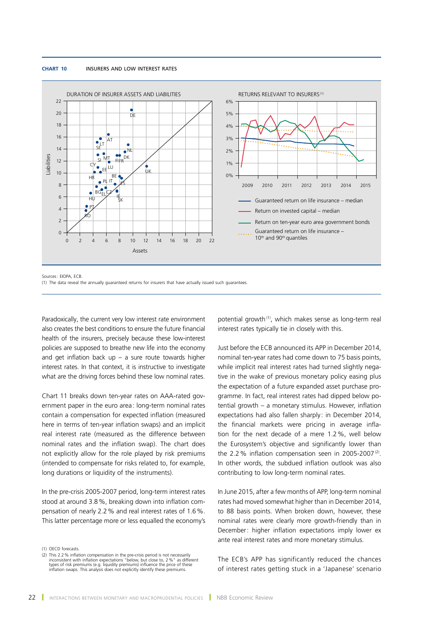#### **Chart 10** INSURERS AND LOW INTEREST RATES



Sources: EIOPA, ECB.

(1) The data reveal the annually guaranteed returns for insurers that have actually issued such guarantees.

Paradoxically, the current very low interest rate environment also creates the best conditions to ensure the future financial health of the insurers, precisely because these low-interest policies are supposed to breathe new life into the economy and get inflation back up  $-$  a sure route towards higher interest rates. In that context, it is instructive to investigate what are the driving forces behind these low nominal rates.

Chart 11 breaks down ten-year rates on AAA-rated government paper in the euro area : long-term nominal rates contain a compensation for expected inflation (measured here in terms of ten-year inflation swaps) and an implicit real interest rate (measured as the difference between nominal rates and the inflation swap). The chart does not explicitly allow for the role played by risk premiums (intended to compensate for risks related to, for example, long durations or liquidity of the instruments).

In the pre-crisis 2005-2007 period, long-term interest rates stood at around 3.8%, breaking down into inflation compensation of nearly 2.2% and real interest rates of 1.6%. This latter percentage more or less equalled the economy's

(1) OECD forecasts.

potential growth<sup>(1)</sup>, which makes sense as long-term real interest rates typically tie in closely with this.

Just before the ECB announced its APP in December 2014, nominal ten-year rates had come down to 75 basis points, while implicit real interest rates had turned slightly negative in the wake of previous monetary policy easing plus the expectation of a future expanded asset purchase programme. In fact, real interest rates had dipped below potential growth – a monetary stimulus. However, inflation expectations had also fallen sharply: in December 2014, the financial markets were pricing in average inflation for the next decade of a mere 1.2%, well below the Eurosystem's objective and significantly lower than the  $2.2\%$  inflation compensation seen in 2005-2007<sup>(2)</sup>. In other words, the subdued inflation outlook was also contributing to low long-term nominal rates.

In June 2015, after a few months of APP, long-term nominal rates had moved somewhat higher than in December 2014, to 88 basis points. When broken down, however, these nominal rates were clearly more growth-friendly than in December: higher inflation expectations imply lower ex ante real interest rates and more monetary stimulus.

The ECB's APP has significantly reduced the chances of interest rates getting stuck in a 'Japanese' scenario

<sup>(2)</sup> This 2.2 % inflation compensation in the pre-crisis period is not necessarily<br>inconsistent with inflation expectations "below, but close to, 2 %" as different<br>types of risk premiums (e.g. liquidity premiums) influence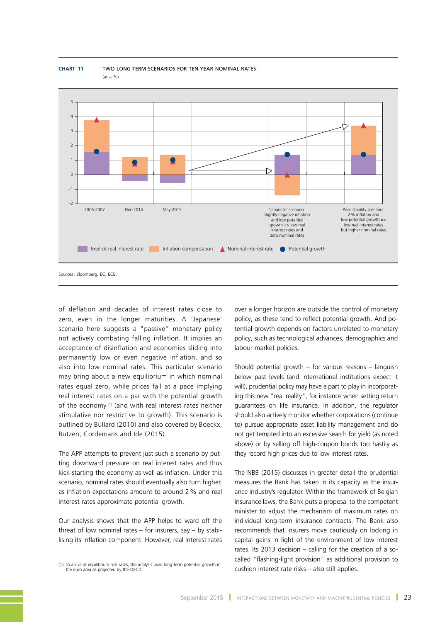

**Chart 11** TWO LONG-TERM SCENARIOS FOR TEN-YEAR NOMINAL RATES (as a %)

of deflation and decades of interest rates close to zero, even in the longer maturities. A 'Japanese' scenario here suggests a "passive" monetary policy not actively combating falling inflation. It implies an acceptance of disinflation and economies sliding into permanently low or even negative inflation, and so also into low nominal rates. This particular scenario may bring about a new equilibrium in which nominal rates equal zero, while prices fall at a pace implying real interest rates on a par with the potential growth of the economy<sup>(1)</sup> (and with real interest rates neither stimulative nor restrictive to growth). This scenario is outlined by Bullard (2010) and also covered by Boeckx, Butzen, Cordemans and Ide (2015).

The APP attempts to prevent just such a scenario by putting downward pressure on real interest rates and thus kick-starting the economy as well as inflation. Under this scenario, nominal rates should eventually also turn higher, as inflation expectations amount to around 2% and real interest rates approximate potential growth.

Our analysis shows that the APP helps to ward off the threat of low nominal rates  $-$  for insurers, say  $-$  by stabilising its inflation component. However, real interest rates

(1) To arrive at equilibrium real rates, the analysis used long-term potential growth in the euro area as projected by the OECD.

over a longer horizon are outside the control of monetary policy, as these tend to reflect potential growth. And potential growth depends on factors unrelated to monetary policy, such as technological advances, demographics and labour market policies.

Should potential growth – for various reasons – languish below past levels (and international institutions expect it will), prudential policy may have a part to play in incorporating this new "real reality", for instance when setting return guarantees on life insurance. In addition, the regulator should also actively monitor whether corporations (continue to) pursue appropriate asset liability management and do not get tempted into an excessive search for yield (as noted above) or by selling off high-coupon bonds too hastily as they record high prices due to low interest rates.

The NBB (2015) discusses in greater detail the prudential measures the Bank has taken in its capacity as the insurance industry's regulator. Within the framework of Belgian insurance laws, the Bank puts a proposal to the competent minister to adjust the mechanism of maximum rates on individual long-term insurance contracts. The Bank also recommends that insurers move cautiously on locking in capital gains in light of the environment of low interest rates. Its 2013 decision – calling for the creation of a socalled "flashing-light provision" as additional provision to cushion interest rate risks – also still applies.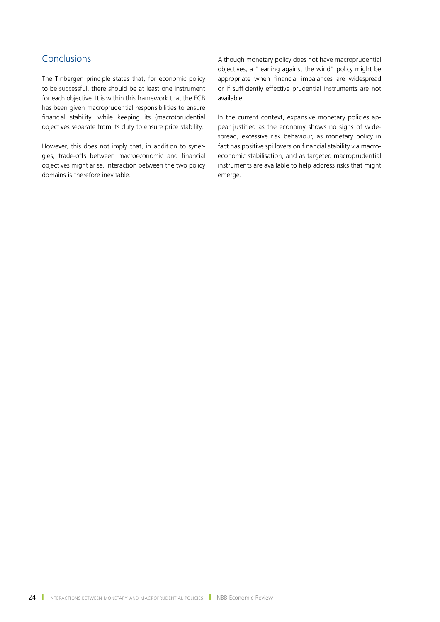# Conclusions

The Tinbergen principle states that, for economic policy to be successful, there should be at least one instrument for each objective. It is within this framework that the ECB has been given macroprudential responsibilities to ensure financial stability, while keeping its (macro)prudential objectives separate from its duty to ensure price stability.

However, this does not imply that, in addition to synergies, trade-offs between macroeconomic and financial objectives might arise. Interaction between the two policy domains is therefore inevitable.

Although monetary policy does not have macroprudential objectives, a "leaning against the wind" policy might be appropriate when financial imbalances are widespread or if sufficiently effective prudential instruments are not available.

In the current context, expansive monetary policies appear justified as the economy shows no signs of widespread, excessive risk behaviour, as monetary policy in fact has positive spillovers on financial stability via macroeconomic stabilisation, and as targeted macroprudential instruments are available to help address risks that might emerge.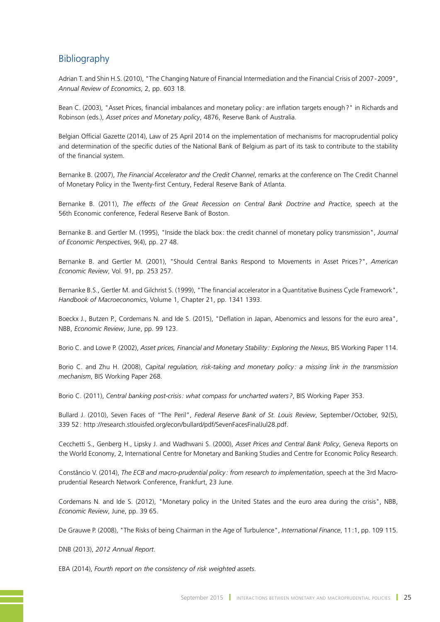# **Bibliography**

Adrian T. and Shin H.S. (2010), "The Changing Nature of Financial Intermediation and the Financial Crisis of 2007-2009", *Annual Review of Economics*, 2, pp. 603 18.

Bean C. (2003), "Asset Prices, financial imbalances and monetary policy : are inflation targets enough?" in Richards and Robinson (eds.), *Asset prices and Monetary policy*, 4876, Reserve Bank of Australia.

Belgian Official Gazette (2014), Law of 25 April 2014 on the implementation of mechanisms for macroprudential policy and determination of the specific duties of the National Bank of Belgium as part of its task to contribute to the stability of the financial system.

Bernanke B. (2007), *The Financial Accelerator and the Credit Channel*, remarks at the conference on The Credit Channel of Monetary Policy in the Twenty-first Century, Federal Reserve Bank of Atlanta.

Bernanke B. (2011), *The effects of the Great Recession on Central Bank Doctrine and Practice*, speech at the 56th Economic conference, Federal Reserve Bank of Boston.

Bernanke B. and Gertler M. (1995), "Inside the black box : the credit channel of monetary policy transmission", *Journal of Economic Perspectives*, 9(4), pp. 27 48.

Bernanke B. and Gertler M. (2001), "Should Central Banks Respond to Movements in Asset Prices?", *American Economic Review*, Vol. 91, pp. 253 257.

Bernanke B.S., Gertler M. and Gilchrist S. (1999), "The financial accelerator in a Quantitative Business Cycle Framework", *Handbook of Macroeconomics*, Volume 1, Chapter 21, pp. 1341 1393.

Boeckx J., Butzen P., Cordemans N. and Ide S. (2015), "Deflation in Japan, Abenomics and lessons for the euro area", NBB, *Economic Review*, June, pp. 99 123.

Borio C. and Lowe P. (2002), *Asset prices, Financial and Monetary Stability : Exploring the Nexus*, BIS Working Paper 114.

Borio C. and Zhu H. (2008), *Capital regulation, risk-taking and monetary policy : a missing link in the transmission mechanism*, BIS Working Paper 268.

Borio C. (2011), *Central banking post-crisis: what compass for uncharted waters?*, BIS Working Paper 353.

Bullard J. (2010), Seven Faces of "The Peril", *Federal Reserve Bank of St. Louis Review*, September/October, 92(5), 339 52: http://research.stlouisfed.org/econ/bullard/pdf/SevenFacesFinalJul28.pdf.

Cecchetti S., Genberg H., Lipsky J. and Wadhwani S. (2000), *Asset Prices and Central Bank Policy*, Geneva Reports on the World Economy, 2, International Centre for Monetary and Banking Studies and Centre for Economic Policy Research.

Constâncio V. (2014), *The ECB and macro-prudential policy : from research to implementation*, speech at the 3rd Macroprudential Research Network Conference, Frankfurt, 23 June.

Cordemans N. and Ide S. (2012), "Monetary policy in the United States and the euro area during the crisis", NBB, *Economic Review*, June, pp. 39 65.

De Grauwe P. (2008), "The Risks of being Chairman in the Age of Turbulence", *International Finance*, 11:1, pp. 109 115.

DNB (2013), *2012 Annual Report*.

EBA (2014), *Fourth report on the consistency of risk weighted assets*.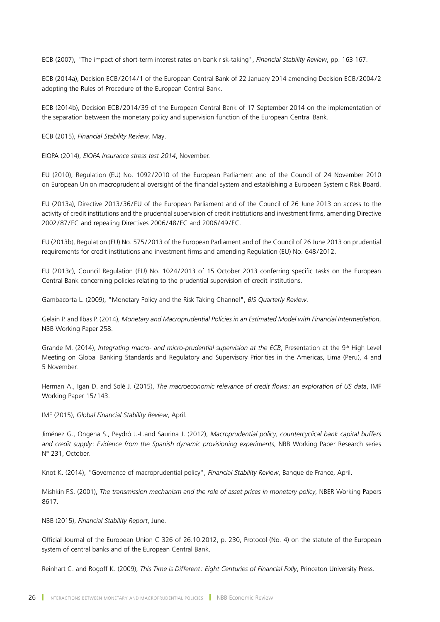ECB (2007), "The impact of short-term interest rates on bank risk-taking", *Financial Stability Review*, pp. 163 167.

ECB (2014a), Decision ECB/2014/1 of the European Central Bank of 22 January 2014 amending Decision ECB/2004/2 adopting the Rules of Procedure of the European Central Bank.

ECB (2014b), Decision ECB/2014/39 of the European Central Bank of 17 September 2014 on the implementation of the separation between the monetary policy and supervision function of the European Central Bank.

ECB (2015), *Financial Stability Review*, May.

EIOPA (2014), *EIOPA Insurance stress test 2014*, November.

EU (2010), Regulation (EU) No. 1092/2010 of the European Parliament and of the Council of 24 November 2010 on European Union macroprudential oversight of the financial system and establishing a European Systemic Risk Board.

EU (2013a), Directive 2013/36/EU of the European Parliament and of the Council of 26 June 2013 on access to the activity of credit institutions and the prudential supervision of credit institutions and investment firms, amending Directive 2002/87/ EC and repealing Directives 2006/48/EC and 2006/49/EC.

EU (2013b), Regulation (EU) No. 575/2013 of the European Parliament and of the Council of 26 June 2013 on prudential requirements for credit institutions and investment firms and amending Regulation (EU) No. 648/2012.

EU (2013c), Council Regulation (EU) No. 1024/2013 of 15 October 2013 conferring specific tasks on the European Central Bank concerning policies relating to the prudential supervision of credit institutions.

Gambacorta L. (2009), "Monetary Policy and the Risk Taking Channel", *BIS Quarterly Review*.

Gelain P. and Ilbas P. (2014), *Monetary and Macroprudential Policies in an Estimated Model with Financial Intermediation*, NBB Working Paper 258.

Grande M. (2014), *Integrating macro- and micro-prudential supervision at the ECB*, Presentation at the 9<sup>th</sup> High Level Meeting on Global Banking Standards and Regulatory and Supervisory Priorities in the Americas, Lima (Peru), 4 and 5 November.

Herman A., Igan D. and Solé J. (2015), *The macroeconomic relevance of credit flows: an exploration of US data*, IMF Working Paper 15/143.

IMF (2015), *Global Financial Stability Review*, April.

Jiménez G., Ongena S., Peydró J.-L.and Saurina J. (2012), *Macroprudential policy, countercyclical bank capital buffers and credit supply : Evidence from the Spanish dynamic provisioning experiments*, NBB Working Paper Research series N° 231, October.

Knot K. (2014), "Governance of macroprudential policy", *Financial Stability Review*, Banque de France, April.

Mishkin F.S. (2001), *The transmission mechanism and the role of asset prices in monetary policy*, NBER Working Papers 8617.

NBB (2015), *Financial Stability Report*, June.

Official Journal of the European Union C 326 of 26.10.2012, p. 230, Protocol (No. 4) on the statute of the European system of central banks and of the European Central Bank.

Reinhart C. and Rogoff K. (2009), *This Time is Different: Eight Centuries of Financial Folly*, Princeton University Press.